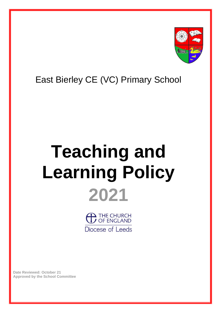

## East Bierley CE (VC) Primary School

## **Teaching and Learning Policy 2021**

THE CHURCH Diocese of Leeds

**Date Reviewed: October 21 Approved by the School Committee**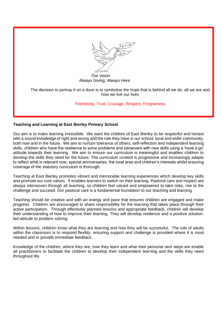

 Our vision: Always Giving; Always Here

The decision to portray it on a dove is to symbolise the hope that is behind all we do, all we are and how we live our lives

Friendship, Trust, Courage, Respect, Forgiveness

## **Teaching and Learning at East Bierley Primary School**

Our aim is to make learning irresistible. We want the children of East Bierley to be respectful and honest with a sound knowledge of right and wrong and the role they have in our school, local and wider community, both now and in the future. We aim to nurture tolerance of others, self-reflection and independent learning skills, children who have the resilience to solve problems and persevere with new skills using a 'have a go' attitude towards their learning. We aim to ensure our curriculum is meaningful and enables children to develop the skills they need for the future. The curriculum content is progressive and increasingly adapts to reflect what is relevant now, special anniversaries, the local area and children's interests whilst ensuring coverage of the statutory curriculum is thorough.

Teaching at East Bierley promotes vibrant and memorable learning experiences which develop key skills and promote our core values. It enables learners to switch on their learning. Pastoral care and respect are always interwoven through all teaching, so children feel valued and empowered to take risks, rise to the challenge and succeed. Our pastoral care is a fundamental foundation to our teaching and learning.

Teaching should be creative and with an energy and pace that ensures children are engaged and make progress. Children are encouraged to share responsibility for the learning that takes place through their active participation. Through effectively planned lessons and appropriate feedback, children will develop their understanding of how to improve their learning. They will develop resilience and a positive solutionled attitude to problem solving.

Within lessons, children know what they are learning and how they will be successful. The role of adults within the classroom is to respond flexibly, ensuring support and challenge is provided where it is most needed and to provide immediate feedback.

Knowledge of the children, where they are, how they learn and what their personal next steps are enable all practitioners to facilitate the children to develop their independent learning and the skills they need throughout life.